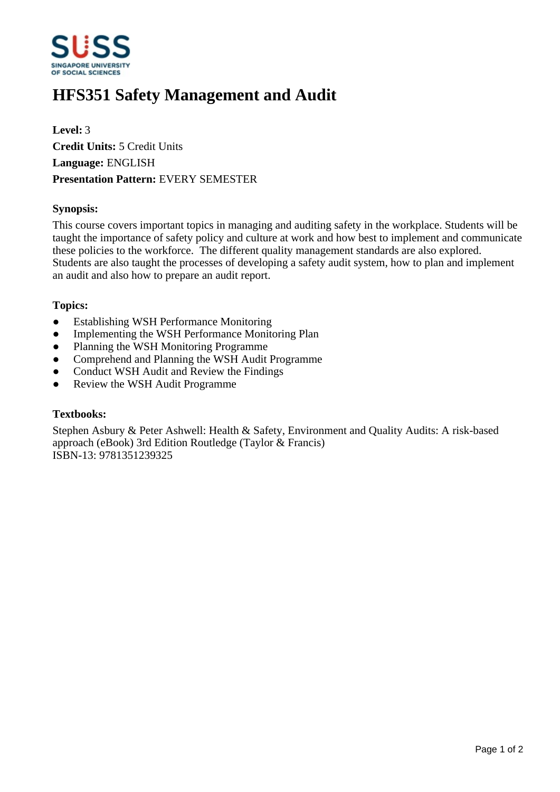

# **HFS351 Safety Management and Audit**

**Level:** 3 **Credit Units:** 5 Credit Units **Language:** ENGLISH **Presentation Pattern:** EVERY SEMESTER

### **Synopsis:**

This course covers important topics in managing and auditing safety in the workplace. Students will be taught the importance of safety policy and culture at work and how best to implement and communicate these policies to the workforce. The different quality management standards are also explored. Students are also taught the processes of developing a safety audit system, how to plan and implement an audit and also how to prepare an audit report.

#### **Topics:**

- Establishing WSH Performance Monitoring
- Implementing the WSH Performance Monitoring Plan
- Planning the WSH Monitoring Programme
- Comprehend and Planning the WSH Audit Programme
- Conduct WSH Audit and Review the Findings
- Review the WSH Audit Programme

#### **Textbooks:**

Stephen Asbury & Peter Ashwell: Health & Safety, Environment and Quality Audits: A risk-based approach (eBook) 3rd Edition Routledge (Taylor & Francis) ISBN-13: 9781351239325